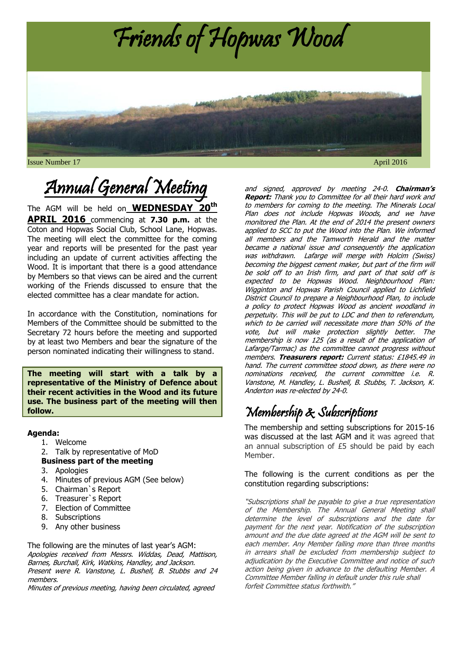

# Annual General Meeting

The AGM will be held on **WEDNESDAY 20th APRIL 2016** commencing at **7.30 p.m.** at the Coton and Hopwas Social Club, School Lane, Hopwas. The meeting will elect the committee for the coming year and reports will be presented for the past year including an update of current activities affecting the Wood. It is important that there is a good attendance by Members so that views can be aired and the current working of the Friends discussed to ensure that the elected committee has a clear mandate for action.

In accordance with the Constitution, nominations for Members of the Committee should be submitted to the Secretary 72 hours before the meeting and supported by at least two Members and bear the signature of the person nominated indicating their willingness to stand.

**The meeting will start with a talk by a representative of the Ministry of Defence about their recent activities in the Wood and its future use. The business part of the meeting will then follow.**

#### **Agenda:**

- 1. Welcome
- 2. Talk by representative of MoD
- **Business part of the meeting**
- 3. Apologies
- 4. Minutes of previous AGM (See below)
- 5. Chairman`s Report
- 6. Treasurer`s Report
- 7. Election of Committee
- 8. Subscriptions
- 9. Any other business

The following are the minutes of last year's AGM: Apologies received from Messrs. Widdas, Dead, Mattison, Barnes, Burchall, Kirk, Watkins, Handley, and Jackson. Present were R. Vanstone, L. Bushell, B. Stubbs and 24 members.

Minutes of previous meeting, having been circulated, agreed

and signed, approved by meeting 24-0. **Chairman's Report:** Thank you to Committee for all their hard work and to members for coming to the meeting. The Minerals Local Plan does not include Hopwas Woods, and we have monitored the Plan. At the end of 2014 the present owners applied to SCC to put the Wood into the Plan. We informed all members and the Tamworth Herald and the matter became a national issue and consequently the application was withdrawn. Lafarge will merge with Holcim (Swiss) becoming the biggest cement maker, but part of the firm will be sold off to an Irish firm, and part of that sold off is expected to be Hopwas Wood. Neighbourhood Plan: Wigginton and Hopwas Parish Council applied to Lichfield District Council to prepare a Neighbourhood Plan, to include a policy to protect Hopwas Wood as ancient woodland in perpetuity. This will be put to LDC and then to referendum, which to be carried will necessitate more than 50% of the vote, but will make protection slightly better. The membership is now 125 (as a result of the application of Lafarge/Tarmac) as the committee cannot progress without members. **Treasurers report:** Current status: £1845.49 in hand. The current committee stood down, as there were no nominations received, the current committee i.e. R. Vanstone, M. Handley, L. Bushell, B. Stubbs, T. Jackson, K. Anderton was re-elected by 24-0.

# Membership & Subscriptions

The membership and setting subscriptions for 2015-16 was discussed at the last AGM and it was agreed that an annual subscription of £5 should be paid by each Member.

The following is the current conditions as per the constitution regarding subscriptions:

"Subscriptions shall be payable to give a true representation of the Membership. The Annual General Meeting shall determine the level of subscriptions and the date for payment for the next year. Notification of the subscription amount and the due date agreed at the AGM will be sent to each member. Any Member falling more than three months in arrears shall be excluded from membership subject to adjudication by the Executive Committee and notice of such action being given in advance to the defaulting Member. A Committee Member falling in default under this rule shall forfeit Committee status forthwith."